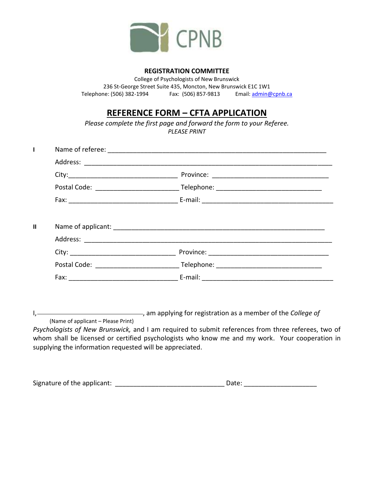

#### **REGISTRATION COMMITTEE**

College of Psychologists of New Brunswick 236 St-George Street Suite 435, Moncton, New Brunswick E1C 1W1 Telephone: (506) 382-1994 Fax: (506) 857-9813 Email[: admin@cpnb.ca](mailto:admin@cpnb.ca)

# **REFERENCE FORM – CFTA APPLICATION**

*Please complete the first page and forward the form to your Referee. PLEASE PRINT* 

I<sub>1</sub> (Intercrete matched as a member of the *College of*  $\overline{a}$ (Name of applicant – Please Print)

*Psychologists of New Brunswick,* and I am required to submit references from three referees, two of whom shall be licensed or certified psychologists who know me and my work. Your cooperation in supplying the information requested will be appreciated.

| Signature of the applicant: |  | Date: |
|-----------------------------|--|-------|
|-----------------------------|--|-------|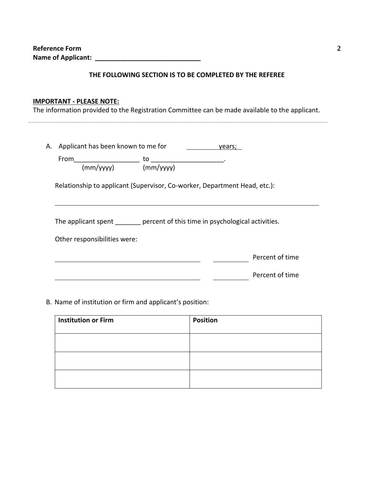**Reference Form Name of Applicant: \_\_\_\_\_\_\_\_\_\_\_\_\_\_\_\_\_\_\_\_\_\_\_\_\_\_\_\_\_** 

#### **THE FOLLOWING SECTION IS TO BE COMPLETED BY THE REFEREE**

### **IMPORTANT - PLEASE NOTE:**

The information provided to the Registration Committee can be made available to the applicant.

|                              | A. Applicant has been known to me for<br>years;                           |
|------------------------------|---------------------------------------------------------------------------|
| From                         | to                                                                        |
| (mm/yyyy)                    | (mm/yyyy)                                                                 |
|                              | Relationship to applicant (Supervisor, Co-worker, Department Head, etc.): |
|                              |                                                                           |
|                              | The applicant spent percent of this time in psychological activities.     |
| Other responsibilities were: |                                                                           |
|                              | Percent of time                                                           |

B. Name of institution or firm and applicant's position:

| <b>Institution or Firm</b> | <b>Position</b> |
|----------------------------|-----------------|
|                            |                 |
|                            |                 |
|                            |                 |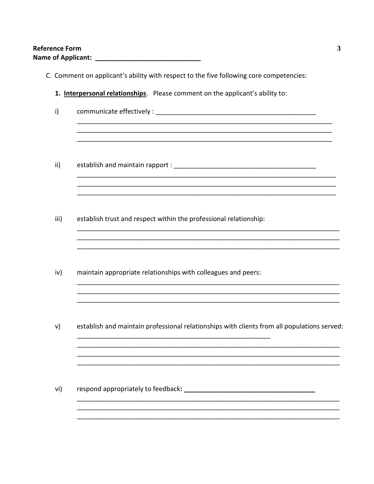- C. Comment on applicant's ability with respect to the five following core competencies: 1. Interpersonal relationships. Please comment on the applicant's ability to:  $i)$  $\mathsf{ii}$  $iii)$ establish trust and respect within the professional relationship: iv) maintain appropriate relationships with colleagues and peers: establish and maintain professional relationships with clients from all populations served: v)
	- vi)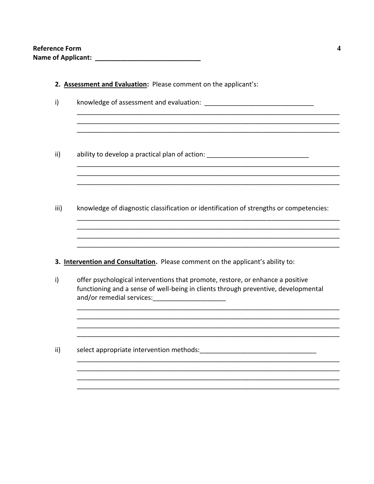| Reference Form            |  |
|---------------------------|--|
| <b>Name of Applicant:</b> |  |

2. Assessment and Evaluation: Please comment on the applicant's:

| i)   | knowledge of assessment and evaluation: North and Solomon and Solomon Showledge of assessment and sell-                                                                                                                                                                                |
|------|----------------------------------------------------------------------------------------------------------------------------------------------------------------------------------------------------------------------------------------------------------------------------------------|
|      |                                                                                                                                                                                                                                                                                        |
| ii)  | ability to develop a practical plan of action: _________________________________                                                                                                                                                                                                       |
| iii) | knowledge of diagnostic classification or identification of strengths or competencies:                                                                                                                                                                                                 |
|      |                                                                                                                                                                                                                                                                                        |
|      | 3. Intervention and Consultation. Please comment on the applicant's ability to:                                                                                                                                                                                                        |
| i)   | offer psychological interventions that promote, restore, or enhance a positive<br>functioning and a sense of well-being in clients through preventive, developmental<br>and/or remedial services: and all the services of the services of the services of the services of the services |
|      |                                                                                                                                                                                                                                                                                        |
| ii)  |                                                                                                                                                                                                                                                                                        |
|      |                                                                                                                                                                                                                                                                                        |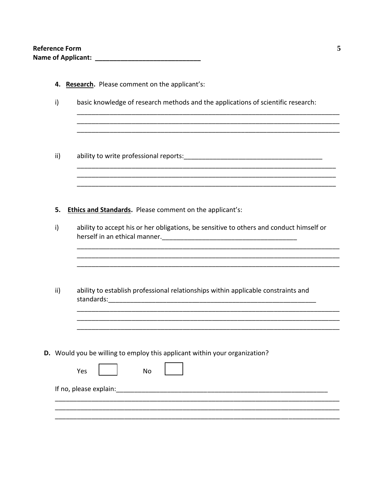| Reference Form            |  |
|---------------------------|--|
| <b>Name of Applicant:</b> |  |

|  | 4. Research. Please comment on the applicant's: |  |
|--|-------------------------------------------------|--|
|  |                                                 |  |

- $i)$ basic knowledge of research methods and the applications of scientific research:
- $\mathsf{ii}$

### 5. Ethics and Standards. Please comment on the applicant's:

| i)  | ability to accept his or her obligations, be sensitive to others and conduct himself or        |
|-----|------------------------------------------------------------------------------------------------|
| ii) | ability to establish professional relationships within applicable constraints and              |
|     |                                                                                                |
|     | <b>D.</b> Would you be willing to employ this applicant within your organization?<br>Yes<br>No |
|     |                                                                                                |
|     |                                                                                                |